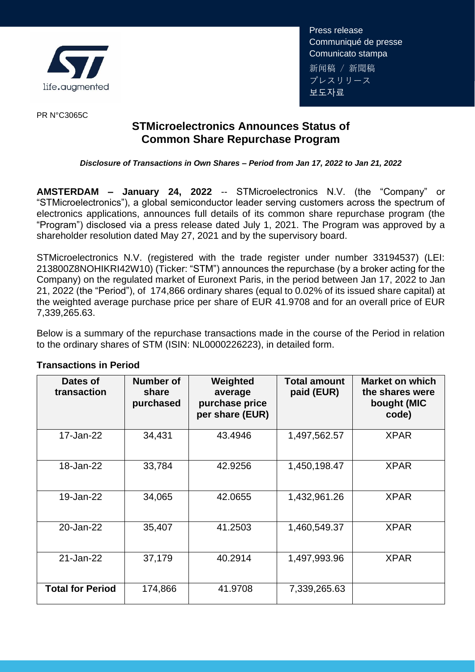

Press release Communiqué de presse Comunicato stampa 新闻稿 / 新聞稿 プレスリリース 보도자료

PR N°C3065C

## **STMicroelectronics Announces Status of Common Share Repurchase Program**

## *Disclosure of Transactions in Own Shares – Period from Jan 17, 2022 to Jan 21, 2022*

**AMSTERDAM – January 24, 2022** -- STMicroelectronics N.V. (the "Company" or "STMicroelectronics"), a global semiconductor leader serving customers across the spectrum of electronics applications, announces full details of its common share repurchase program (the "Program") disclosed via a press release dated July 1, 2021. The Program was approved by a shareholder resolution dated May 27, 2021 and by the supervisory board.

STMicroelectronics N.V. (registered with the trade register under number 33194537) (LEI: 213800Z8NOHIKRI42W10) (Ticker: "STM") announces the repurchase (by a broker acting for the Company) on the regulated market of Euronext Paris, in the period between Jan 17, 2022 to Jan 21, 2022 (the "Period"), of 174,866 ordinary shares (equal to 0.02% of its issued share capital) at the weighted average purchase price per share of EUR 41.9708 and for an overall price of EUR 7,339,265.63.

Below is a summary of the repurchase transactions made in the course of the Period in relation to the ordinary shares of STM (ISIN: NL0000226223), in detailed form.

| Dates of<br>transaction | Number of<br>share<br>purchased | Weighted<br>average<br>purchase price<br>per share (EUR) | Total amount<br>paid (EUR) | <b>Market on which</b><br>the shares were<br>bought (MIC<br>code) |
|-------------------------|---------------------------------|----------------------------------------------------------|----------------------------|-------------------------------------------------------------------|
| 17-Jan-22               | 34,431                          | 43.4946                                                  | 1,497,562.57               | <b>XPAR</b>                                                       |
| 18-Jan-22               | 33,784                          | 42.9256                                                  | 1,450,198.47               | <b>XPAR</b>                                                       |
| 19-Jan-22               | 34,065                          | 42.0655                                                  | 1,432,961.26               | <b>XPAR</b>                                                       |
| 20-Jan-22               | 35,407                          | 41.2503                                                  | 1,460,549.37               | <b>XPAR</b>                                                       |
| 21-Jan-22               | 37,179                          | 40.2914                                                  | 1,497,993.96               | <b>XPAR</b>                                                       |
| <b>Total for Period</b> | 174,866                         | 41.9708                                                  | 7,339,265.63               |                                                                   |

## **Transactions in Period**